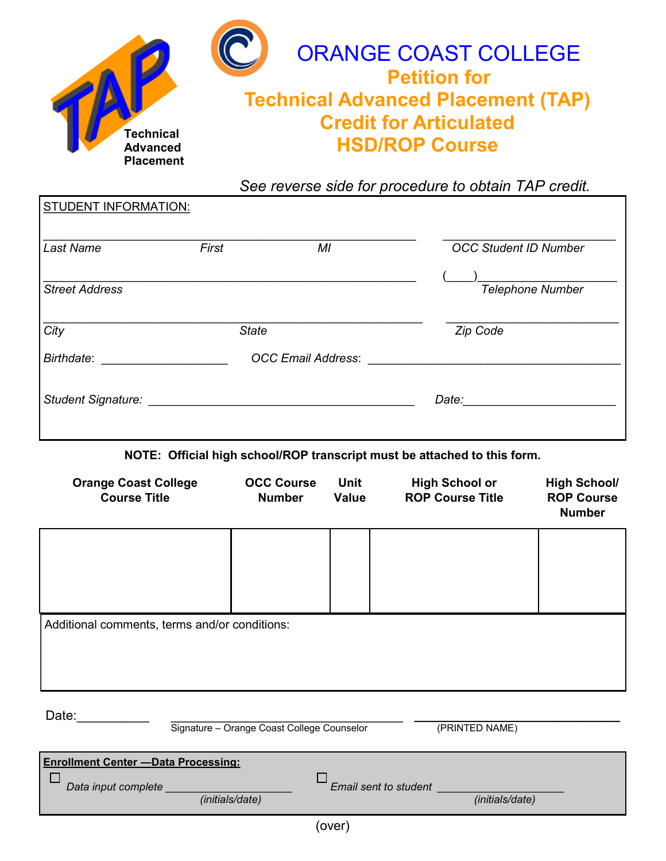

*See reverse side for procedure to obtain TAP credit.*

| <b>Last Name</b>          | First        | MI                        | <b>OCC Student ID Number</b> |
|---------------------------|--------------|---------------------------|------------------------------|
|                           |              |                           |                              |
| <b>Street Address</b>     |              |                           | <b>Telephone Number</b>      |
| City                      | <b>State</b> |                           | Zip Code                     |
| Birthdate:                |              | <b>OCC Email Address:</b> |                              |
|                           |              |                           |                              |
| <b>Student Signature:</b> |              |                           | Date:                        |

**NOTE: Official high school/ROP transcript must be attached to this form.** 

| <b>Orange Coast College</b><br><b>Course Title</b> | <b>OCC Course</b><br><b>Number</b> | <b>Unit</b><br><b>Value</b> | <b>High School or</b><br><b>ROP Course Title</b> | <b>High School/</b><br><b>ROP Course</b><br><b>Number</b> |
|----------------------------------------------------|------------------------------------|-----------------------------|--------------------------------------------------|-----------------------------------------------------------|
|                                                    |                                    |                             |                                                  |                                                           |
| Additional comments, terms and/or conditions:      |                                    |                             |                                                  |                                                           |

STUDENT INFORMATION:

Date:
<u>
Date:</u>
Signature – Orange Coast College Counselor
(PRINTED NAME) Signature – Orange Coast College Counselor

| <b>Enrollment Center - Data Processing:</b>                     |                          |
|-----------------------------------------------------------------|--------------------------|
| Data input complete<br>Email sent to student<br>(initials/date) | ( <i>initials/date</i> ) |